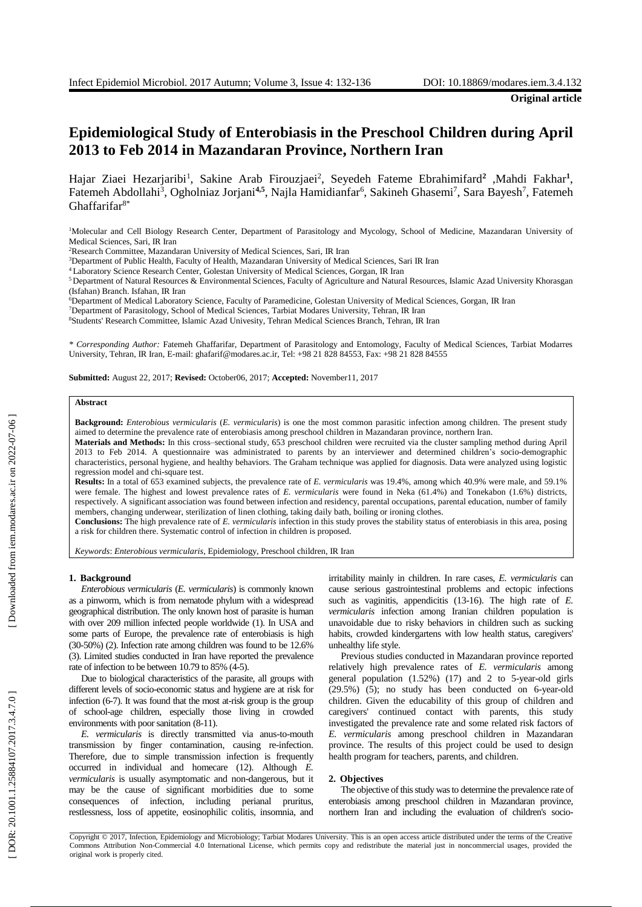**Original article**

# **Epidemiological Study of Enterobiasis in the Preschool Children during April 2013 to Feb 2014 in Mazandaran Province , Northern Iran**

Hajar Ziaei Hezarjaribi<sup>1</sup>, Sakine Arab Firouzjaei<sup>2</sup>, Seyedeh Fateme Ebrahimifard<sup>2</sup> ,Mahdi Fakhar<sup>1</sup>, Fatemeh Abdollahi<sup>3</sup>, Ogholniaz Jorjani<sup>4,5</sup>, Najla Hamidianfar<sup>6</sup>, Sakineh Ghasemi<sup>7</sup>, Sara Bayesh<sup>7</sup>, Fatemeh Ghaffarifar<sup>8\*</sup>

<sup>1</sup>Molecular and Cell Biology Research Center, Department of Parasitology and Mycology, School of Medicine, Mazandaran University of Medical Sciences, Sari, IR Iran

<sup>3</sup>Department of Public Health, Faculty of Health, Mazandaran University of Medical Sciences, Sari IR Iran

<sup>4</sup> Laboratory Science Research Center, Golestan University of Medical Sciences, Gorgan, IR Iran

<sup>5</sup>Department of Natural Resources & Environmental Sciences, Faculty of Agriculture and Natural Resources, Islamic Azad University Khorasgan (Isfahan) Branch. Isfahan, IR Iran

<sup>6</sup>Department of Medical Laboratory Science, Faculty of Paramedicine, Golestan University of Medical Sciences, Gorgan, IR Iran

7Department of Parasitology, School of Medical Sciences, Tarbiat Modares University, Tehran, IR Iran

<sup>8</sup>Students' Research Committee, Islamic Azad Univesity, Tehran Medical Sciences Branch, Tehran, IR Iran

*\* Corresponding Author:* Fatemeh Ghaffarifar, Department of Parasitology and Entomology, Faculty of Medical Sciences, Tarbiat Modarres University, Tehran, IR Iran, E-mail: ghafarif@modares.ac.ir, Tel: +98 21 828 84553, Fax: +98 21 828 84555

**Submitted:** August 22, 2017; **Revised:** October06, 2017; **Accepted:** November11, 2017

## **Abstract**

Background: *Enterobious vermicularis* (*E. vermicularis*) is one the most common parasitic infection among children. The present study aimed to determine the prevalence rate of enterobiasis among preschool children in Mazandaran province, northern Iran.

**Materials and Methods :** In this cross –sectional study, 653 preschool children were recruited via the cluster sampling method during April 201 3 to Feb 2014 . A questionnaire was administrated to parents by an interviewer and determined children's socio -demographic characteristics, personal hygiene , and healthy behaviors. The Graham technique was applied for diagnosis. Data were analyzed using logistic regression model and chi -square test.

Results: In a total of 653 examined subjects, the prevalence rate of *E. vermicularis* was 19.4%, among which 40.9% were male, and 59.1% were female. The highest and lowest prevalence rates of *E. vermicularis* were found in Neka (61.4%) and Tonekabon (1.6%) districts, respectively. A significant association was found between infection and residency, parental occupation s, parental education, number of family members, changing underwear, sterilization of linen clothing , taking daily bath, boiling or ironing clothes .

**Conclusion s :** The high prevalence rate of *E. vermicularis* infection in this study proves the stability status of enterobiasis in this area , posing a risk for children there. Systematic control of infection in children is proposed.

Keywords: Enterobious vermicularis, Epidemiology, Preschool children, IR Iran

#### **1 . Background**

*Enterobious vermicularis* (*E. vermicularis*) is commonly known as a pinworm, which is from nematode phylum with a widespread geographical distribution. The only known host of parasite is human with over 209 million infected people worldwide (1) . In USA and some parts of Europe , the prevalence rate of enterobiasis is high (30 -50 % ) (2). Infection rate among children was found to be 12.6 % (3). Limited studies conducted in Iran have reported the prevalence rate of infection to be between 10.79 to 85% (4-5).

Due to biological characteristics of the parasite, all groups with different level s of socio -economic status and hygiene are at risk for infection (6 -7). It was found that the most at -risk group is the group of school -age children , especially those living in crowded environments with poor sanitation (8 -11).

E. vermicularis is directly transmitted via anus-to-mouth transmission by finger contamination , causing re -infection. Therefore, due to simple transmission infection is frequently occurred in individual and homecare (12). Although *E.*  vermicularis is usually asymptomatic and non-dangerous, but it may be the cause of significant morbidities due to some consequences of infection , including perianal pruritus, restlessness, loss of appetite, eosin ophilic colitis, insomnia, and

irritability mainly in children. In rare case s, *E. vermicularis* can cause serious gastrointestinal problems and ectopic infections such as vaginitis, appendicitis (13-16). The high rate of *E*. *vermicularis* infection among Iranian children population is unavoidable due to risky behaviors in children such as sucking habits, crowded kindergartens with low health status, caregivers' unhealthy life style .

Previous studies conducted in Mazandaran province reported relatively high prevalence rates of *E. vermicularis* among general population (1.52%) (17 ) and 2 to 5 -year -old girls (29.5%) ( 5 ) ; no study has been conducted on 6 -year -old children. Given the educability of this group of children and caregivers' continued contact with parents, this study investigated the prevalence rate and some related risk factors of *E. vermicularis* among preschool children in Mazandaran province. The results of this project could be used to design health program for teachers, parents, and children.

#### **2. Objectives**

The objective of this study was to determine the prevalence rate of enterobiasis among preschool children in Mazandaran province, northern Iran and including the evaluation of children's socio -

Copyright © 2017, Infection, Epidemiology and Microbiology; Tarbiat Modares University. This is an open access article distributed under the terms of the Creative Commons Attribution Non -Commercial 4.0 International License, which permits copy and redistribute the material just in noncommercial usages, provided the original work is properly cited .

<sup>2</sup>Research Committee, Mazandaran University of Medical Sciences, Sari, IR Iran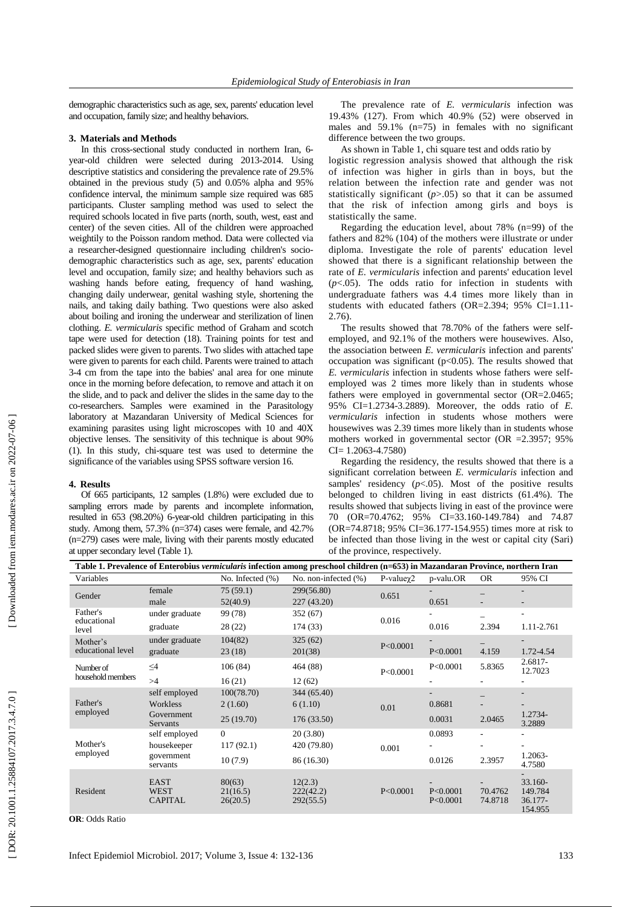demographic characteristics such as age, sex, parents' education level and occupation, family size; and healthy behaviors.

## **3. Materials and Methods**

In this cross -sectional study conducted in northern Iran, 6 year -old children were selected during 201 3 -2014. Using descriptive statistics and considering the prevalence rate of 29 . 5% obtained in the previous study (5) and 0.05% alpha and 95% confidence interval , the minimum sample size required was 685 participants. Cluster sampling method was used to select the required schools located in five part s (north, south, west, east and center) of the seven cities . All of the children were approached weightily to the Poisson random method . Data were collected via a researcher -designed questionnaire including children's socio demographic characteristics such as age , sex, parents' education level and occupation, family size; and healthy behaviors such as washing hands before eating, frequency of hand washing, changing daily underwear, genital washing style , shortening the nails , and taking daily bathing. Two questions were also asked about boiling and ironing the underwear and sterilization of linen clothing . *E. vermicularis* specific method of Graham and scotch tape were used for detection (18). Training points for test and packed slides were given to parents. Two slides with attached tape 3-4 cm from the tape into the babies' anal area for one minute once in the morning before defecatio n , to remove and attach it on the slide, and to pack and deliver the slides in the same day to the co -researchers. Samples were examined in the Parasitology laboratory at Mazandaran University of Medical Sciences for examining parasites using light microscopes with 10 and 40X objective lenses . The sensitivity of this technique is about 90% ( 1 ) . In this study , chi -square test was used to determin e the significance of the variable s using SPSS software version 16.

## **4 . Results**

Of 665 participants, 12 samples (1.8%) were excluded due to sampling errors made by parents and incomplete information , resulted in 653 (98.20%) 6 -year-old children participating in this study. Among them, 57.3 % (n=374) cases were female , and 42.7% (n=279) cases were male , living with their parents mostly educated at upper secondary level ( Table 1).

The prevalence rate of *E. vermicularis* infection was 19.43% (127). From which 40 . 9 % (52) were observed in males and 59 .1% (n=75) in female s with no significant difference between the two groups.

As shown in Table 1, chi square test and odd s ratio by

logistic regression analysis showed that although the risk of infection was higher in girls than in boys, but the relation between the infection rate and gender was not statistically significant  $(p>0.05)$  so that it can be assumed that the risk of infection among girls and boys is statistically the same.

Regarding the education level, about 78% (n=99) of the father s and 82% (104) of the mothers were illustrate or under diploma . Investigate the role of parents' education level showed that there is a significant relationship between the rate of *E. vermicularis* infection and parents' education level  $(p<.05)$ . The odds ratio for infection in students with undergraduate fathers was 4.4 times more likely than in students with educated fathers (OR=2.394; 95% CI=1.11 - 2.76).

The results showed that 78.70% of the fathers were selfemployed, and 92.1% of the mothers were housewives. Also, the association between *E. vermicularis* infection and parents' occupation was significant ( $p<0.05$ ). The results showed that *E. vermicularis* infection in students whose fathers were selfemployed was 2 times more likely than in students whose fathers were employed in governmental sector (OR=2.0465; 95% CI=1.2734 -3.2889). Moreover, the odds ratio of *E. vermicularis* infection in students whose mothers were housewives was 2.39 times more likely than in students whose mothers worked in governmental sector (OR =2.3957; 95% CI= 1.2063 -4.7580)

Regarding the residency, the results showed that there is a significant correlation between *E. vermicularis* infection and samples' residency  $(p<.05)$ . Most of the positive results belonged to children living in east district s (61.4%). The results showed that subjects living in east of the province were 70 (OR=70.4762 ; 95% CI=33.160 -149.784) and 74.87 (OR=74.8718 ; 95% CI=36.177 -154.955) times more at risk to be infected than those living in the west or capital city (Sari) of the province , respectively.

| Table 1. Prevalence of Enterobius vermicularis infection among preschool children (n=653) in Mazandaran Province, northern Iran |                                              |                                |                                   |                  |                        |                    |                                            |  |
|---------------------------------------------------------------------------------------------------------------------------------|----------------------------------------------|--------------------------------|-----------------------------------|------------------|------------------------|--------------------|--------------------------------------------|--|
| Variables                                                                                                                       |                                              | No. Infected (%)               | No. non-infected $(\% )$          | $P-value\gamma2$ | p-valu.OR              | <b>OR</b>          | 95% CI                                     |  |
| Gender                                                                                                                          | female                                       | 75(59.1)                       | 299(56.80)                        | 0.651            |                        |                    |                                            |  |
|                                                                                                                                 | male                                         | 52(40.9)                       | 227(43.20)                        |                  | 0.651                  |                    |                                            |  |
| Father's<br>educational<br>level                                                                                                | under graduate                               | 99 (78)                        | 352 (67)                          |                  |                        | -                  | ٠                                          |  |
|                                                                                                                                 | graduate                                     | 28(22)                         | 0.016<br>174 (33)                 |                  | 0.016                  | 2.394              | 1.11-2.761                                 |  |
| Mother's<br>educational level                                                                                                   | under graduate                               | 104(82)                        | 325(62)                           | P<0.0001         |                        |                    |                                            |  |
|                                                                                                                                 | graduate                                     | 23(18)                         | 201(38)                           |                  | P<0.0001               | 4.159              | 1.72-4.54                                  |  |
| Number of<br>household members                                                                                                  | $\leq4$                                      | 106(84)                        | 464 (88)                          | P<0.0001         | P<0.0001               | 5.8365             | 2.6817-<br>12.7023                         |  |
|                                                                                                                                 | >4                                           | 16(21)                         | 12(62)                            |                  |                        |                    |                                            |  |
| Father's<br>employed                                                                                                            | self employed                                | 100(78.70)                     | 344 (65.40)                       |                  |                        |                    | $\overline{\phantom{a}}$                   |  |
|                                                                                                                                 | Workless                                     | 2(1.60)                        | 6(1.10)                           | 0.01             | 0.8681                 |                    |                                            |  |
|                                                                                                                                 | Government<br>Servants                       | 25(19.70)                      | 176 (33.50)                       |                  | 0.0031                 | 2.0465             | 1.2734-<br>3.2889                          |  |
| Mother's<br>employed                                                                                                            | self employed                                | $\Omega$                       | 20(3.80)                          |                  | 0.0893                 | $\overline{a}$     | $\overline{\phantom{a}}$                   |  |
|                                                                                                                                 | 117(92.1)<br>housekeeper                     |                                | 420 (79.80)                       | 0.001            |                        | ۰                  |                                            |  |
|                                                                                                                                 | government<br>servants                       | 10(7.9)                        | 86 (16.30)                        |                  | 0.0126                 | 2.3957             | 1.2063-<br>4.7580                          |  |
| Resident                                                                                                                        | <b>EAST</b><br><b>WEST</b><br><b>CAPITAL</b> | 80(63)<br>21(16.5)<br>26(20.5) | 12(2.3)<br>222(42.2)<br>292(55.5) | P<0.0001         | P < 0.0001<br>P<0.0001 | 70.4762<br>74.8718 | 33.160-<br>149.784<br>$36.177-$<br>154.955 |  |

**OR**: Odds Ratio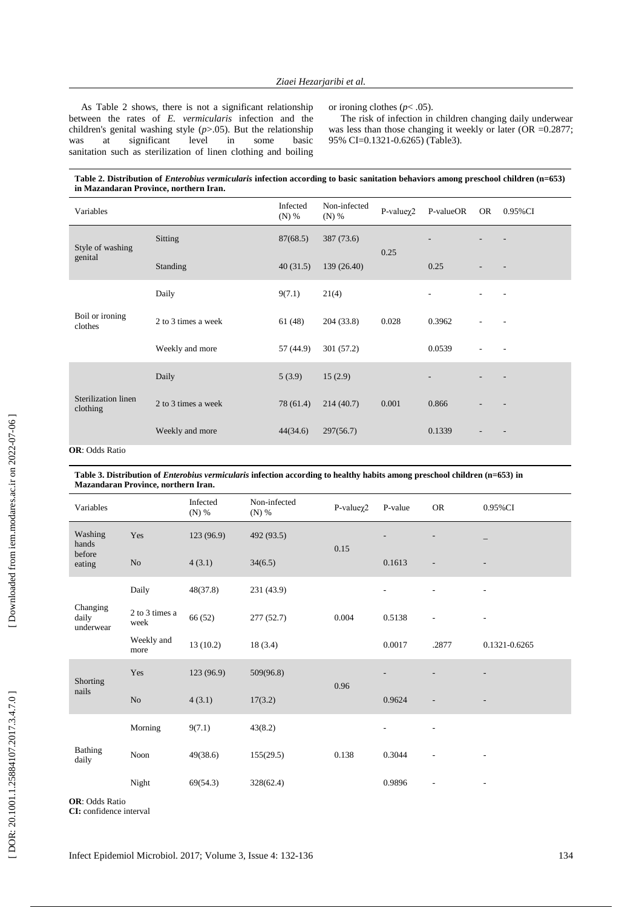As Table 2 shows, there is not a significant relationship between the rates of *E. vermicularis* infection and the children's genital washing style  $(p>0.05)$ . But the relationship<br>was at significant level in some basic was at significant level in some basic sanitation such as sterilization of linen clothing and boiling

or ironing clothes (*p*< .05).

The risk of infection in children changing daily underwear was less than those changing it weekly or later (OR = 0.2877; 95% CI=0.1321 -0.6265 ) (Table3).

| Table 2. Distribution of <i>Enterobius vermicularis</i> infection according to basic sanitation behaviors among preschool children (n=653) |  |
|--------------------------------------------------------------------------------------------------------------------------------------------|--|
| in Mazandaran Province, northern Iran.                                                                                                     |  |

| Variables                                                                                               |                     | Infected<br>$(N)$ % | Non-infected<br>$(N)$ % | $P-value\gamma2$ | P-valueOR | <b>OR</b> | 0.95% CI                 |
|---------------------------------------------------------------------------------------------------------|---------------------|---------------------|-------------------------|------------------|-----------|-----------|--------------------------|
| Style of washing<br>genital                                                                             | Sitting             | 87(68.5)            | 387 (73.6)              | 0.25             |           |           |                          |
|                                                                                                         | Standing            | 40(31.5)            | 139 (26.40)             |                  | 0.25      |           |                          |
| Boil or ironing<br>clothes                                                                              | Daily               | 9(7.1)              | 21(4)                   |                  |           |           |                          |
|                                                                                                         | 2 to 3 times a week | 61(48)              | 204 (33.8)              | 0.028            | 0.3962    |           |                          |
|                                                                                                         | Weekly and more     | 57 (44.9)           | 301(57.2)               |                  | 0.0539    |           |                          |
| Sterilization linen<br>clothing<br>$\Omega$ <b>D</b> , $\Omega$ <sub>dde</sub> <b>D</b> <sub>atio</sub> | Daily               | 5(3.9)              | 15(2.9)                 | 0.001            |           |           |                          |
|                                                                                                         | 2 to 3 times a week | 78 (61.4)           | 214(40.7)               |                  | 0.866     |           |                          |
|                                                                                                         | Weekly and more     | 44(34.6)            | 297(56.7)               |                  | 0.1339    |           | $\overline{\phantom{a}}$ |

**OR**: Odds Ratio

#### **Table 3. Distribution of** *Enterobius vermicularis* **infection according to healthy habits among preschool children (n=653) in Mazandaran Province, northern Iran .**

| Variables                            |                        | Infected<br>(N) % | Non-infected<br>$(N)$ % | $P-value\chi2$ | P-value        | <b>OR</b>                | 0.95% CI          |
|--------------------------------------|------------------------|-------------------|-------------------------|----------------|----------------|--------------------------|-------------------|
| Washing<br>hands<br>before<br>eating | Yes                    | 123 (96.9)        | 492 (93.5)              | 0.15           |                |                          |                   |
|                                      | $\rm No$               | 4(3.1)            | 34(6.5)                 |                | 0.1613         | $\overline{\phantom{a}}$ |                   |
| Changing<br>daily<br>underwear       | Daily                  | 48(37.8)          | 231 (43.9)              | 0.004          | $\overline{a}$ | ÷,                       | $\qquad \qquad -$ |
|                                      | 2 to 3 times a<br>week | 66 (52)           | 277(52.7)               |                | 0.5138         | ä,                       |                   |
|                                      | Weekly and<br>more     | 13(10.2)          | 18(3.4)                 |                | 0.0017         | .2877                    | 0.1321-0.6265     |
| Shorting<br>nails                    | Yes                    | 123 (96.9)        | 509(96.8)               | 0.96           |                |                          |                   |
|                                      | No                     | 4(3.1)            | 17(3.2)                 |                | 0.9624         | ÷,                       |                   |
| Bathing<br>daily                     | Morning                | 9(7.1)            | 43(8.2)                 |                | L,             | L,                       |                   |
|                                      | Noon                   | 49(38.6)          | 155(29.5)               | 0.138          | 0.3044         | $\overline{\phantom{m}}$ |                   |
|                                      | Night                  | 69(54.3)          | 328(62.4)               |                | 0.9896         | $\overline{\phantom{m}}$ |                   |

**OR**: Odds Ratio **CI:** confidence interval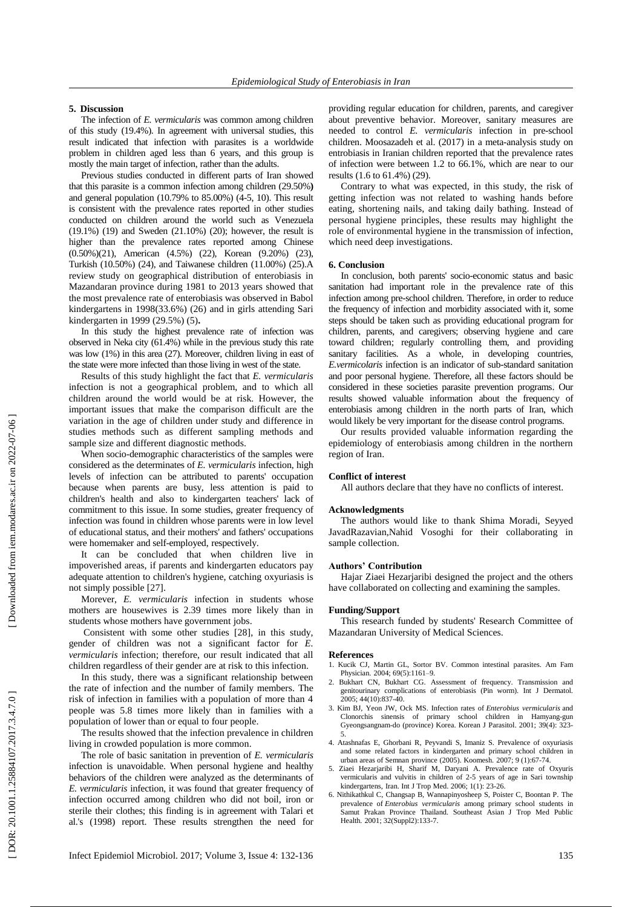#### **5 . Discussion**

The infection of *E. vermicularis* was common among children of this study (19.4% ) . In agreement with universal studies, this result indicated that infection with parasites is a worldwide problem in children aged less than 6 years , and this group is mostly the main target of infection, rather than the adults.

Previous studies conducted in different parts of Iran showed that this parasite is a common infection among children (29.50% **)** and general population (10.79% to 85.00%) ( 4 - 5, 10 ). This result is consistent with the prevalence rates reported in other studies conducted on children around the world such as Venezuela (19.1 %) (19 ) and Swede n (21.10%) (20 ); however, the result is higher than the prevalence rates reported among Chinese (0.50%) (21), American (4.5%) (22), Korean (9.20%) (23 ), Turkish (10.50%) (24), and Taiwanese children (11.00%) (25).A review study on geographical distribution of ent erobiasis in Mazandaran province during 1981 to 2013 years showed that the most prevalence rate of enterobiasis was observed in Babol kindergarten s in 1998(33.6%) (26) and in girls attending Sari kindergarten in 1999 (29.5 % ) ( 5 )**.** 

In this study the highest prevalence rate of infection was observed in Neka city (61.4%) while in the previous study this rate was low (1%) in this area (27). Moreover, children living in east of the state were more infected than those living in west of the state.

Results of this study highlight the fact that *E. vermicularis* infection is not a geographical problem , and to which all children around the world would be a t risk. However, the important issue s that make the comparison difficult are the variation in the age of children under study and difference in studies methods such as different sampling method s and sample size and different diagnostic method s.

When socio-demographic characteristics of the samples were considered as the determinates of *E. vermicularis* infection, high levels of infection can be attributed to parents' occupation because when parents are busy , less attention is paid to children's health and also to kindergarten teachers' lack of commitment to this issue. In some studies , greater frequency of infection was found in children whose parents were in low level of educational status , and their mothers' and fathers' occupations were homemaker and self-employed , respectively.

It can be conclude d that when children live in impoverished areas, if parents and kindergarten educators pay adequate attention to children's hygiene, catching oxyuriasis is not simply possible [27]. Morever, *E. vermicularis* infection in students whose

mothers are housewives is 2.39 times more likely than in students whose mothers have government jobs .

Consistent with some other studies [28 ], in this study, gender of children was not a significant factor for *E. vermicularis* infection; therefore , our result indicated that all children regardless of their gender are at risk to this infection.

In this study, there was a significant relationship between the rate of infection and the number of family members . The risk of infection in families with a population of more than 4 people was 5.8 times more likely than in families with a population of lower than or equal to four people .

The results showed that the infection prevalence in children living in crowded p opulation is more common .

The role of basic sanitation in prevention of *E. vermicularis* infection is unavoidable. When personal hygiene and healthy behavior s of the children were analyzed as the determinants of *E. vermicularis* infection, it was found that greater frequency of infection occurred among children who did not boil, iron or sterile their clothes; this finding is in agreement with Talari et al.'s (1998) report. These results strengthen the need for

providing regular education for children, parents, and caregiver about preventive behavior. Moreover, sanitary measures are needed to control *E. vermicularis* infection in pre -school children. Moosazadeh et al. (2017) in a meta -analysis study on entrobiasis in Iranian children reported that the prevalence rates of infection were between 1.2 to 66.1%, which are near to our results (1.6 to 61.4% ) (29).

Contrary to what was expected, in this study, the risk of getting infection was not related to washing hands before eating, shortening nails , and taking daily bathing. Instead of personal hygiene principles, these results may highlight the role of environmental hygiene in the transmission of infection, which need deep investigations.

## **6. Conclusion**

In conclusion, both parents' socio -economic status and basic sanitation had important role in the prevalence rate of this infection among pre -school children. Therefore, in order to reduce the frequency of infection and morbidity associated with it, some steps should be taken such as providing educational program for children, parents , and caregivers ; observing hygiene and care toward children ; regularly controlling them, and providing sanitary facilities. As a whole, in developing countries, *E.vermicolaris* infection is an indicator of sub -standard sanitation and poor personal hygiene. Therefore, all these factors should be considered in these societies parasite prevention programs . Our results showed valuable information about the frequency of enterobiasis among children in the north parts of Iran, which would likely be very important for the disease control programs.

Our results provide d valuable information regarding the epidemiology of enterobiasis among children in the northern region of Iran.

#### **Conflict of interest**

All authors declare that they have no conflicts of interest.

#### **Acknowledgments**

The authors would like to thank Shima Moradi, Seyyed JavadRazavian,Nahid Vosoghi for their collaborating in sample collection .

## **Authors' Contribution**

Hajar Ziaei Hezarjaribi designed the project and the others have collaborated on collecting and examining the samples.

## **Funding/Support**

This research funded by students' Research Committee of Mazandaran University of Medical Sciences.

#### **References**

- 1. Kucik CJ, Martin GL, Sortor BV. Common intestinal parasites. Am Fam Physician. 2004; 69(5):1161-9.
- 2. Bukhart CN , Bukhart CG. Assessment of frequency . Transmission and genitourinary complications of enterobiasis (Pin worm). Int J Dermatol . 2005 ; 44(10):837 -40.
- 3. Kim BJ, Yeon JW, Ock MS. Infection rates of *Enterobius vermicularis* and Clonorchis sinensis of primary school children in Hamyang -gun Gyeongsangnam -do (province) Korea. Korean J Parasitol . 2001; 39(4): 323 - 5 .
- 4. Atashnafas E, Ghorbani R, Peyvandi S, Imaniz S. Prevalence of oxyuriasis and some related factors in kindergarten and primary school children in urban areas of Semnan province (2005). Koomesh. 2007; 9 (1):67-74.
- 5. Ziaei Hezarjaribi H, Sharif M, Daryani A. Prevalence rate of Oxyuris vermicularis and vulvitis in children of 2 -5 years of age in Sari township kindergartens, Iran. Int J Trop Med . 2006; 1(1): 23 -26.
- 6. Nithikathkul C, Changsap B, Wannapinyosheep S, Poister C, Boontan P. The prevalence of *Enterobius vermicularis* among primary school students in Samut Prakan Province Thailand. Southeast Asian J Trop Med Public Health. 2001; 32(Suppl2):133-7.